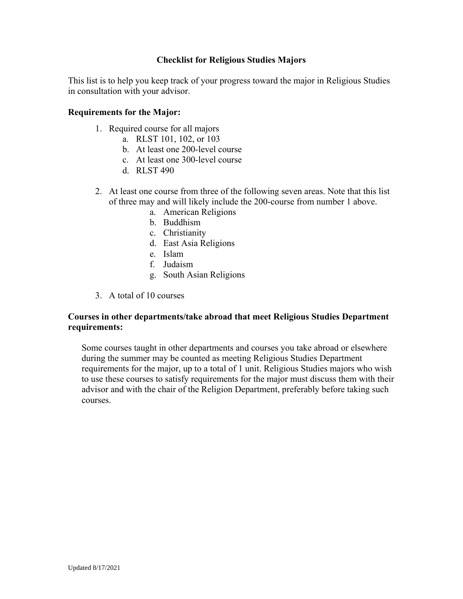#### **Checklist for Religious Studies Majors**

This list is to help you keep track of your progress toward the major in Religious Studies in consultation with your advisor.

#### **Requirements for the Major:**

- 1. Required course for all majors
	- a. RLST 101, 102, or 103
	- b. At least one 200-level course
	- c. At least one 300-level course
	- d. RLST 490
- 2. At least one course from three of the following seven areas. Note that this list of three may and will likely include the 200-course from number 1 above.
	- a. American Religions
	- b. Buddhism
	- c. Christianity
	- d. East Asia Religions
	- e. Islam
	- f. Judaism
	- g. South Asian Religions
- 3. A total of 10 courses

### **Courses in other departments/take abroad that meet Religious Studies Department requirements:**

Some courses taught in other departments and courses you take abroad or elsewhere during the summer may be counted as meeting Religious Studies Department requirements for the major, up to a total of 1 unit. Religious Studies majors who wish to use these courses to satisfy requirements for the major must discuss them with their advisor and with the chair of the Religion Department, preferably before taking such courses.